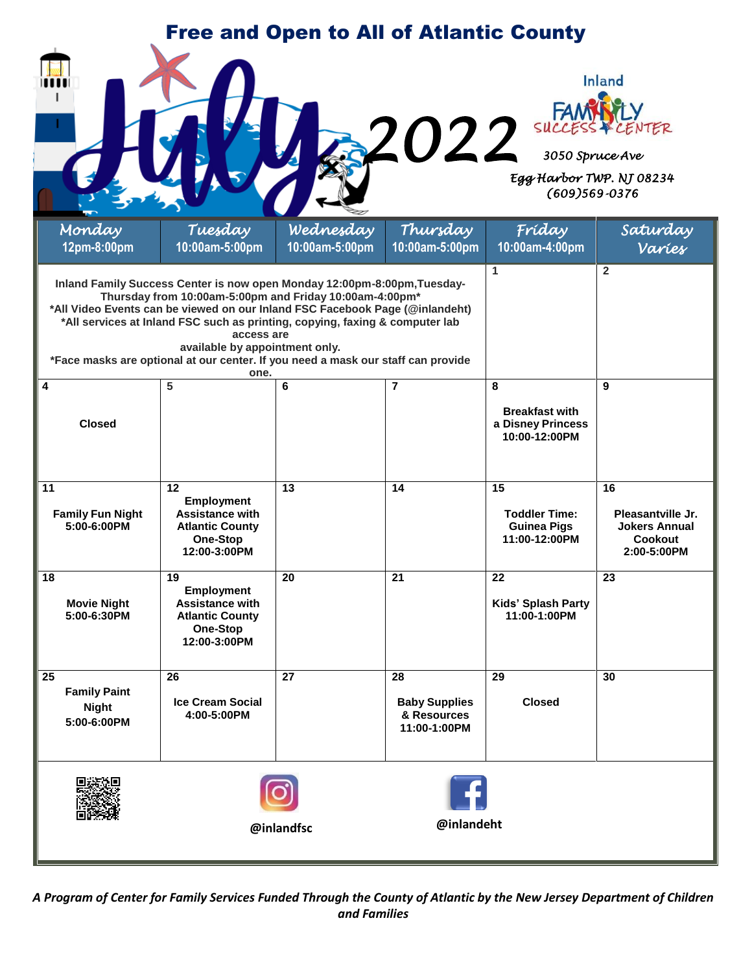| <b>Free and Open to All of Atlantic County</b>                                                                                                                                                                                                                                                                                                                                                                                                                                                         |                                                                                                         |                |                                                                                                     |                                                                   |                                                                           |
|--------------------------------------------------------------------------------------------------------------------------------------------------------------------------------------------------------------------------------------------------------------------------------------------------------------------------------------------------------------------------------------------------------------------------------------------------------------------------------------------------------|---------------------------------------------------------------------------------------------------------|----------------|-----------------------------------------------------------------------------------------------------|-------------------------------------------------------------------|---------------------------------------------------------------------------|
| <b>2022</b>                                                                                                                                                                                                                                                                                                                                                                                                                                                                                            |                                                                                                         |                | <b>Inland</b><br><b>FAMMATY</b><br>3050 Spruce Ave<br>Egg Harbor TWP. NJ 08234<br>$(609)569 - 0376$ |                                                                   |                                                                           |
| Monday                                                                                                                                                                                                                                                                                                                                                                                                                                                                                                 | Tuesday                                                                                                 | Wednesday      | Thursday                                                                                            | Fríday                                                            | Saturday                                                                  |
| 12pm-8:00pm                                                                                                                                                                                                                                                                                                                                                                                                                                                                                            | 10:00am-5:00pm                                                                                          | 10:00am-5:00pm | 10:00am-5:00pm                                                                                      | 10:00am-4:00pm                                                    | Varies                                                                    |
| Inland Family Success Center is now open Monday 12:00pm-8:00pm, Tuesday-<br>Thursday from 10:00am-5:00pm and Friday 10:00am-4:00pm*<br>*All Video Events can be viewed on our Inland FSC Facebook Page (@inlandeht)<br>*All services at Inland FSC such as printing, copying, faxing & computer lab<br>access are<br>available by appointment only.<br>*Face masks are optional at our center. If you need a mask our staff can provide<br>one.<br>$\overline{\mathbf{4}}$<br>5<br>6<br>$\overline{7}$ |                                                                                                         |                |                                                                                                     | 1<br>8                                                            | $\overline{2}$<br>9                                                       |
| <b>Closed</b>                                                                                                                                                                                                                                                                                                                                                                                                                                                                                          |                                                                                                         |                |                                                                                                     | <b>Breakfast with</b><br>a Disney Princess<br>10:00-12:00PM       |                                                                           |
| 11<br><b>Family Fun Night</b><br>5:00-6:00PM                                                                                                                                                                                                                                                                                                                                                                                                                                                           | 12<br><b>Employment</b><br><b>Assistance with</b><br><b>Atlantic County</b><br>One-Stop<br>12:00-3:00PM | 13             | 14                                                                                                  | 15<br><b>Toddler Time:</b><br><b>Guinea Pigs</b><br>11:00-12:00PM | 16<br>Pleasantville Jr.<br><b>Jokers Annual</b><br>Cookout<br>2:00-5:00PM |
| 18<br><b>Movie Night</b><br>5:00-6:30PM                                                                                                                                                                                                                                                                                                                                                                                                                                                                | 19<br><b>Employment</b><br><b>Assistance with</b><br><b>Atlantic County</b><br>One-Stop<br>12:00-3:00PM | 20             | 21                                                                                                  | 22<br>Kids' Splash Party<br>11:00-1:00PM                          | 23                                                                        |
| $\overline{25}$<br><b>Family Paint</b><br><b>Night</b><br>5:00-6:00PM                                                                                                                                                                                                                                                                                                                                                                                                                                  | 26<br><b>Ice Cream Social</b><br>4:00-5:00PM                                                            | 27             | 28<br><b>Baby Supplies</b><br>& Resources<br>11:00-1:00PM                                           | 29<br><b>Closed</b>                                               | 30                                                                        |
| @inlandeht<br>@inlandfsc                                                                                                                                                                                                                                                                                                                                                                                                                                                                               |                                                                                                         |                |                                                                                                     |                                                                   |                                                                           |

*A Program of Center for Family Services Funded Through the County of Atlantic by the New Jersey Department of Children and Families*